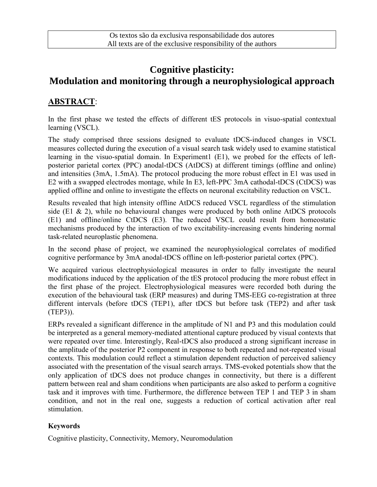# **Cognitive plasticity: Modulation and monitoring through a neurophysiological approach**

## **ABSTRACT**:

In the first phase we tested the effects of different tES protocols in visuo-spatial contextual learning (VSCL).

The study comprised three sessions designed to evaluate tDCS-induced changes in VSCL measures collected during the execution of a visual search task widely used to examine statistical learning in the visuo-spatial domain. In Experiment1 (E1), we probed for the effects of leftposterior parietal cortex (PPC) anodal-tDCS (AtDCS) at different timings (offline and online) and intensities (3mA, 1.5mA). The protocol producing the more robust effect in E1 was used in E2 with a swapped electrodes montage, while In E3, left-PPC 3mA cathodal-tDCS (CtDCS) was applied offline and online to investigate the effects on neuronal excitability reduction on VSCL.

Results revealed that high intensity offline AtDCS reduced VSCL regardless of the stimulation side (E1 & 2), while no behavioural changes were produced by both online AtDCS protocols (E1) and offline/online CtDCS (E3). The reduced VSCL could result from homeostatic mechanisms produced by the interaction of two excitability-increasing events hindering normal task-related neuroplastic phenomena.

In the second phase of project, we examined the neurophysiological correlates of modified cognitive performance by 3mA anodal-tDCS offline on left-posterior parietal cortex (PPC).

We acquired various electrophysiological measures in order to fully investigate the neural modifications induced by the application of the tES protocol producing the more robust effect in the first phase of the project. Electrophysiological measures were recorded both during the execution of the behavioural task (ERP measures) and during TMS-EEG co-registration at three different intervals (before tDCS (TEP1), after tDCS but before task (TEP2) and after task (TEP3)).

ERPs revealed a significant difference in the amplitude of N1 and P3 and this modulation could be interpreted as a general memory-mediated attentional capture produced by visual contexts that were repeated over time. Interestingly, Real-tDCS also produced a strong significant increase in the amplitude of the posterior P2 component in response to both repeated and not-repeated visual contexts. This modulation could reflect a stimulation dependent reduction of perceived saliency associated with the presentation of the visual search arrays. TMS-evoked potentials show that the only application of tDCS does not produce changes in connectivity, but there is a different pattern between real and sham conditions when participants are also asked to perform a cognitive task and it improves with time. Furthermore, the difference between TEP 1 and TEP 3 in sham condition, and not in the real one, suggests a reduction of cortical activation after real stimulation.

#### **Keywords**

Cognitive plasticity, Connectivity, Memory, Neuromodulation